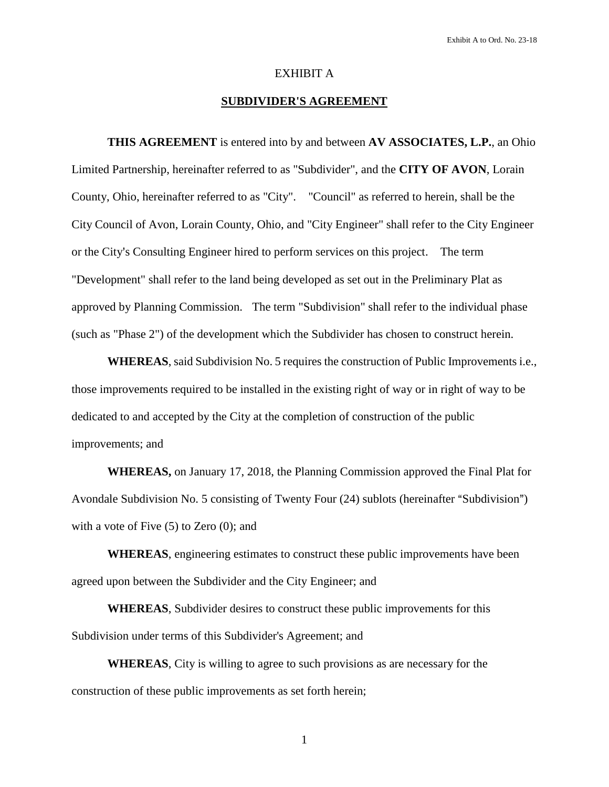#### EXHIBIT A

# **SUBDIVIDER'S AGREEMENT**

**THIS AGREEMENT** is entered into by and between **AV ASSOCIATES, L.P.**, an Ohio Limited Partnership, hereinafter referred to as "Subdivider", and the **CITY OF AVON**, Lorain County, Ohio, hereinafter referred to as "City". "Council" as referred to herein, shall be the City Council of Avon, Lorain County, Ohio, and "City Engineer" shall refer to the City Engineer or the City's Consulting Engineer hired to perform services on this project. The term "Development" shall refer to the land being developed as set out in the Preliminary Plat as approved by Planning Commission. The term "Subdivision" shall refer to the individual phase (such as "Phase 2") of the development which the Subdivider has chosen to construct herein.

**WHEREAS**, said Subdivision No. 5 requires the construction of Public Improvements i.e., those improvements required to be installed in the existing right of way or in right of way to be dedicated to and accepted by the City at the completion of construction of the public improvements; and

**WHEREAS,** on January 17, 2018, the Planning Commission approved the Final Plat for Avondale Subdivision No. 5 consisting of Twenty Four (24) sublots (hereinafter "Subdivision") with a vote of Five  $(5)$  to Zero  $(0)$ ; and

**WHEREAS**, engineering estimates to construct these public improvements have been agreed upon between the Subdivider and the City Engineer; and

**WHEREAS**, Subdivider desires to construct these public improvements for this Subdivision under terms of this Subdivider's Agreement; and

**WHEREAS**, City is willing to agree to such provisions as are necessary for the construction of these public improvements as set forth herein;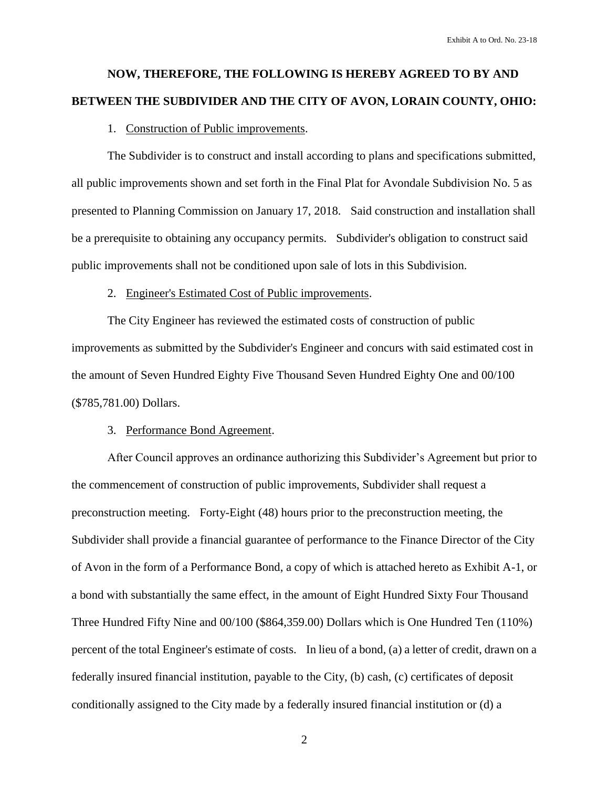# **NOW, THEREFORE, THE FOLLOWING IS HEREBY AGREED TO BY AND BETWEEN THE SUBDIVIDER AND THE CITY OF AVON, LORAIN COUNTY, OHIO:**

#### 1. Construction of Public improvements.

The Subdivider is to construct and install according to plans and specifications submitted, all public improvements shown and set forth in the Final Plat for Avondale Subdivision No. 5 as presented to Planning Commission on January 17, 2018. Said construction and installation shall be a prerequisite to obtaining any occupancy permits. Subdivider's obligation to construct said public improvements shall not be conditioned upon sale of lots in this Subdivision.

# 2. Engineer's Estimated Cost of Public improvements.

The City Engineer has reviewed the estimated costs of construction of public improvements as submitted by the Subdivider's Engineer and concurs with said estimated cost in the amount of Seven Hundred Eighty Five Thousand Seven Hundred Eighty One and 00/100 (\$785,781.00) Dollars.

#### 3. Performance Bond Agreement.

After Council approves an ordinance authorizing this Subdivider's Agreement but prior to the commencement of construction of public improvements, Subdivider shall request a preconstruction meeting. Forty-Eight (48) hours prior to the preconstruction meeting, the Subdivider shall provide a financial guarantee of performance to the Finance Director of the City of Avon in the form of a Performance Bond, a copy of which is attached hereto as Exhibit A-1, or a bond with substantially the same effect, in the amount of Eight Hundred Sixty Four Thousand Three Hundred Fifty Nine and 00/100 (\$864,359.00) Dollars which is One Hundred Ten (110%) percent of the total Engineer's estimate of costs. In lieu of a bond, (a) a letter of credit, drawn on a federally insured financial institution, payable to the City, (b) cash, (c) certificates of deposit conditionally assigned to the City made by a federally insured financial institution or (d) a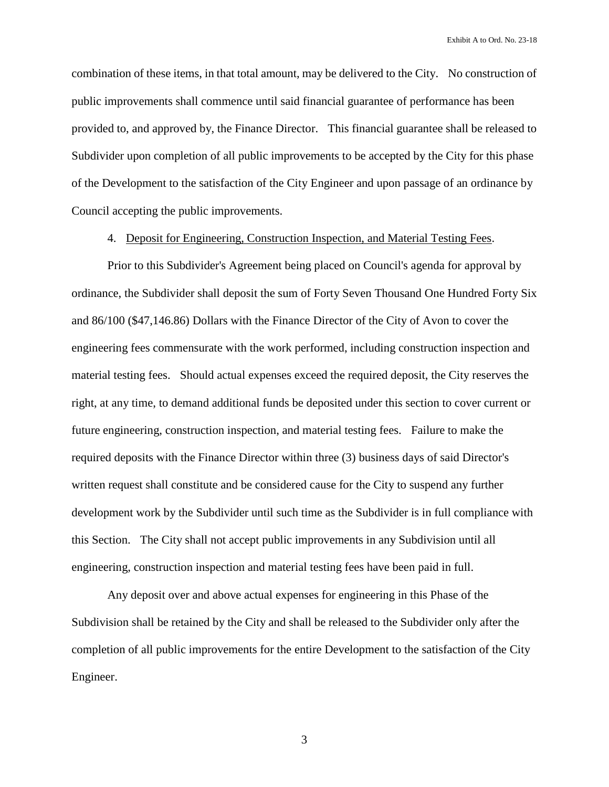combination of these items, in that total amount, may be delivered to the City. No construction of public improvements shall commence until said financial guarantee of performance has been provided to, and approved by, the Finance Director. This financial guarantee shall be released to Subdivider upon completion of all public improvements to be accepted by the City for this phase of the Development to the satisfaction of the City Engineer and upon passage of an ordinance by Council accepting the public improvements.

#### 4. Deposit for Engineering, Construction Inspection, and Material Testing Fees.

Prior to this Subdivider's Agreement being placed on Council's agenda for approval by ordinance, the Subdivider shall deposit the sum of Forty Seven Thousand One Hundred Forty Six and 86/100 (\$47,146.86) Dollars with the Finance Director of the City of Avon to cover the engineering fees commensurate with the work performed, including construction inspection and material testing fees. Should actual expenses exceed the required deposit, the City reserves the right, at any time, to demand additional funds be deposited under this section to cover current or future engineering, construction inspection, and material testing fees. Failure to make the required deposits with the Finance Director within three (3) business days of said Director's written request shall constitute and be considered cause for the City to suspend any further development work by the Subdivider until such time as the Subdivider is in full compliance with this Section. The City shall not accept public improvements in any Subdivision until all engineering, construction inspection and material testing fees have been paid in full.

Any deposit over and above actual expenses for engineering in this Phase of the Subdivision shall be retained by the City and shall be released to the Subdivider only after the completion of all public improvements for the entire Development to the satisfaction of the City Engineer.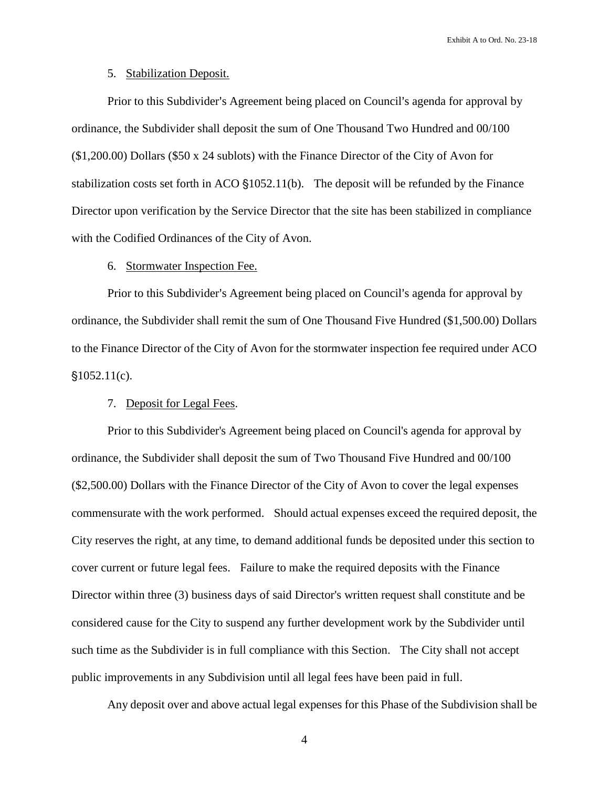# 5. Stabilization Deposit.

Prior to this Subdivider's Agreement being placed on Council's agenda for approval by ordinance, the Subdivider shall deposit the sum of One Thousand Two Hundred and 00/100 (\$1,200.00) Dollars (\$50 x 24 sublots) with the Finance Director of the City of Avon for stabilization costs set forth in ACO  $$1052.11(b)$ . The deposit will be refunded by the Finance Director upon verification by the Service Director that the site has been stabilized in compliance with the Codified Ordinances of the City of Avon.

#### 6. Stormwater Inspection Fee.

Prior to this Subdivider's Agreement being placed on Council's agenda for approval by ordinance, the Subdivider shall remit the sum of One Thousand Five Hundred (\$1,500.00) Dollars to the Finance Director of the City of Avon for the stormwater inspection fee required under ACO  $$1052.11(c).$ 

#### 7. Deposit for Legal Fees.

Prior to this Subdivider's Agreement being placed on Council's agenda for approval by ordinance, the Subdivider shall deposit the sum of Two Thousand Five Hundred and 00/100 (\$2,500.00) Dollars with the Finance Director of the City of Avon to cover the legal expenses commensurate with the work performed. Should actual expenses exceed the required deposit, the City reserves the right, at any time, to demand additional funds be deposited under this section to cover current or future legal fees. Failure to make the required deposits with the Finance Director within three (3) business days of said Director's written request shall constitute and be considered cause for the City to suspend any further development work by the Subdivider until such time as the Subdivider is in full compliance with this Section. The City shall not accept public improvements in any Subdivision until all legal fees have been paid in full.

Any deposit over and above actual legal expenses for this Phase of the Subdivision shall be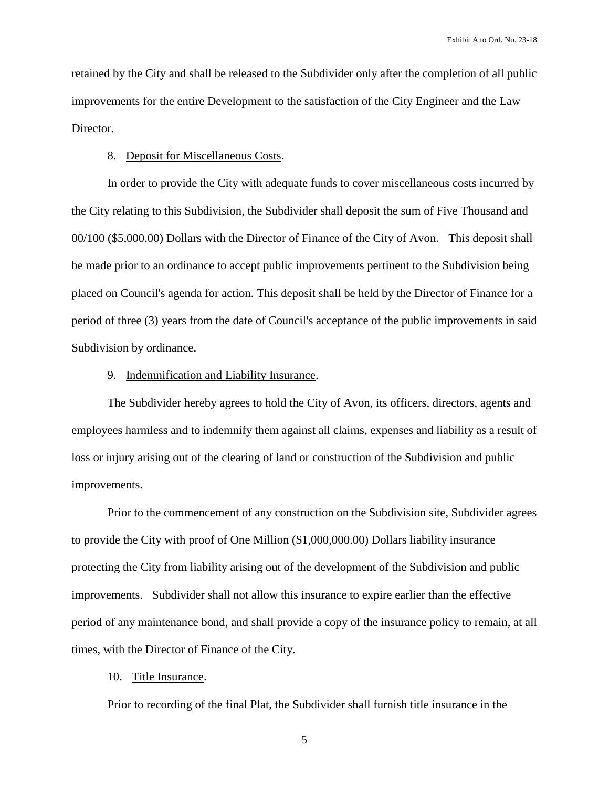retained by the City and shall be released to the Subdivider only after the completion of all public improvements for the entire Development to the satisfaction of the City Engineer and the Law Director.

# 8. Deposit for Miscellaneous Costs.

In order to provide the City with adequate funds to cover miscellaneous costs incurred by the City relating to this Subdivision, the Subdivider shall deposit the sum of Five Thousand and 00/100 (\$5,000.00) Dollars with the Director of Finance of the City of Avon. This deposit shall be made prior to an ordinance to accept public improvements pertinent to the Subdivision being placed on Council's agenda for action. This deposit shall be held by the Director of Finance for a period of three (3) years from the date of Council's acceptance of the public improvements in said Subdivision by ordinance.

#### 9. Indemnification and Liability Insurance.

The Subdivider hereby agrees to hold the City of Avon, its officers, directors, agents and employees harmless and to indemnify them against all claims, expenses and liability as a result of loss or injury arising out of the clearing of land or construction of the Subdivision and public improvements.

Prior to the commencement of any construction on the Subdivision site, Subdivider agrees to provide the City with proof of One Million (\$1,000,000.00) Dollars liability insurance protecting the City from liability arising out of the development of the Subdivision and public improvements. Subdivider shall not allow this insurance to expire earlier than the effective period of any maintenance bond, and shall provide a copy of the insurance policy to remain, at all times, with the Director of Finance of the City.

# 10. Title Insurance.

Prior to recording of the final Plat, the Subdivider shall furnish title insurance in the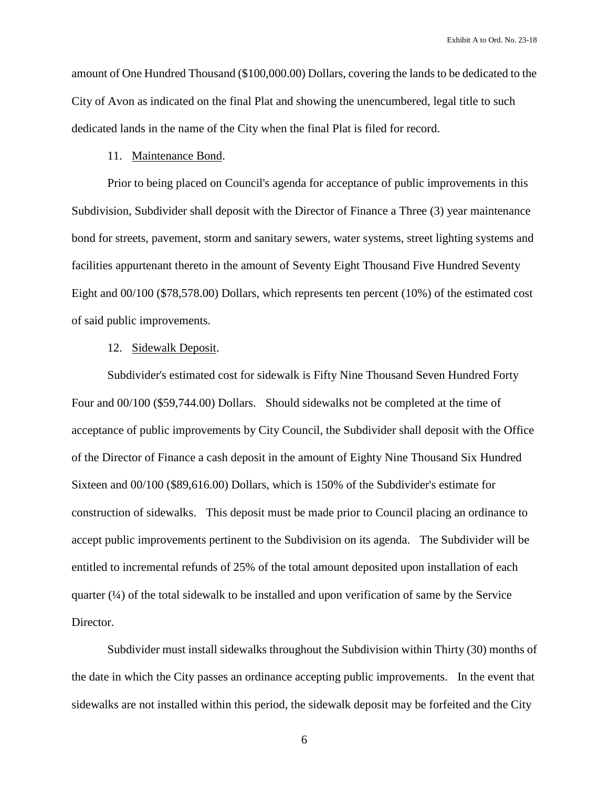amount of One Hundred Thousand (\$100,000.00) Dollars, covering the lands to be dedicated to the City of Avon as indicated on the final Plat and showing the unencumbered, legal title to such dedicated lands in the name of the City when the final Plat is filed for record.

# 11. Maintenance Bond.

Prior to being placed on Council's agenda for acceptance of public improvements in this Subdivision, Subdivider shall deposit with the Director of Finance a Three (3) year maintenance bond for streets, pavement, storm and sanitary sewers, water systems, street lighting systems and facilities appurtenant thereto in the amount of Seventy Eight Thousand Five Hundred Seventy Eight and 00/100 (\$78,578.00) Dollars, which represents ten percent (10%) of the estimated cost of said public improvements.

#### 12. Sidewalk Deposit.

Subdivider's estimated cost for sidewalk is Fifty Nine Thousand Seven Hundred Forty Four and 00/100 (\$59,744.00) Dollars. Should sidewalks not be completed at the time of acceptance of public improvements by City Council, the Subdivider shall deposit with the Office of the Director of Finance a cash deposit in the amount of Eighty Nine Thousand Six Hundred Sixteen and 00/100 (\$89,616.00) Dollars, which is 150% of the Subdivider's estimate for construction of sidewalks. This deposit must be made prior to Council placing an ordinance to accept public improvements pertinent to the Subdivision on its agenda. The Subdivider will be entitled to incremental refunds of 25% of the total amount deposited upon installation of each quarter  $(4)$  of the total sidewalk to be installed and upon verification of same by the Service Director.

Subdivider must install sidewalks throughout the Subdivision within Thirty (30) months of the date in which the City passes an ordinance accepting public improvements. In the event that sidewalks are not installed within this period, the sidewalk deposit may be forfeited and the City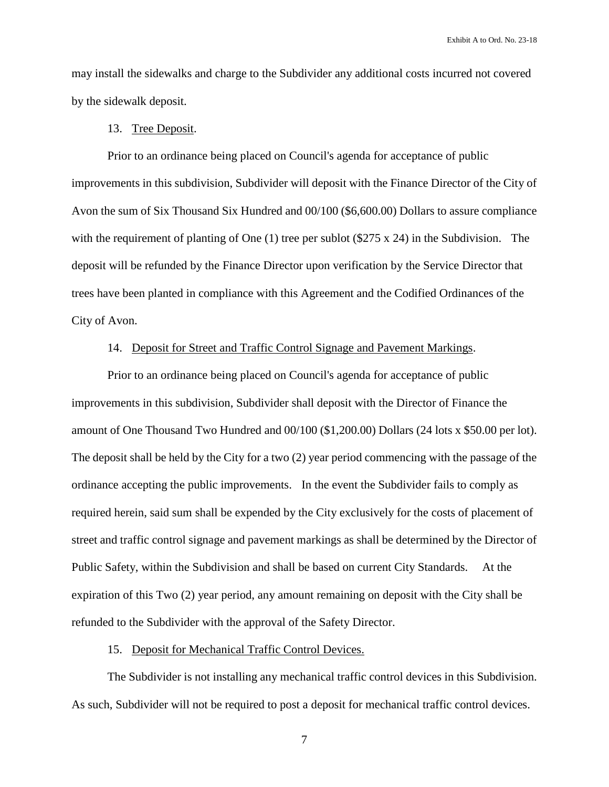may install the sidewalks and charge to the Subdivider any additional costs incurred not covered by the sidewalk deposit.

#### 13. Tree Deposit.

Prior to an ordinance being placed on Council's agenda for acceptance of public improvements in this subdivision, Subdivider will deposit with the Finance Director of the City of Avon the sum of Six Thousand Six Hundred and 00/100 (\$6,600.00) Dollars to assure compliance with the requirement of planting of One (1) tree per sublot  $(\$275 \times 24)$  in the Subdivision. The deposit will be refunded by the Finance Director upon verification by the Service Director that trees have been planted in compliance with this Agreement and the Codified Ordinances of the City of Avon.

# 14. Deposit for Street and Traffic Control Signage and Pavement Markings.

Prior to an ordinance being placed on Council's agenda for acceptance of public improvements in this subdivision, Subdivider shall deposit with the Director of Finance the amount of One Thousand Two Hundred and 00/100 (\$1,200.00) Dollars (24 lots x \$50.00 per lot). The deposit shall be held by the City for a two (2) year period commencing with the passage of the ordinance accepting the public improvements. In the event the Subdivider fails to comply as required herein, said sum shall be expended by the City exclusively for the costs of placement of street and traffic control signage and pavement markings as shall be determined by the Director of Public Safety, within the Subdivision and shall be based on current City Standards. At the expiration of this Two (2) year period, any amount remaining on deposit with the City shall be refunded to the Subdivider with the approval of the Safety Director.

# 15. Deposit for Mechanical Traffic Control Devices.

The Subdivider is not installing any mechanical traffic control devices in this Subdivision. As such, Subdivider will not be required to post a deposit for mechanical traffic control devices.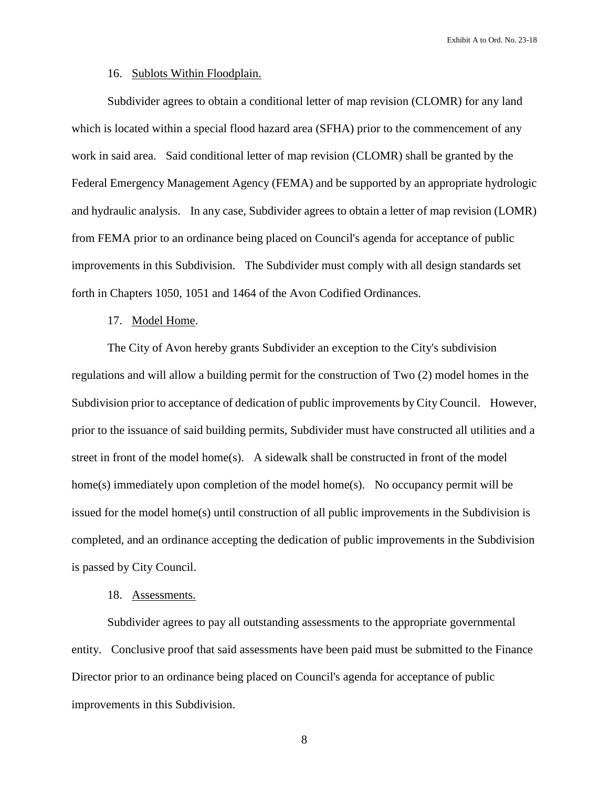#### 16. Sublots Within Floodplain.

Subdivider agrees to obtain a conditional letter of map revision (CLOMR) for any land which is located within a special flood hazard area (SFHA) prior to the commencement of any work in said area. Said conditional letter of map revision (CLOMR) shall be granted by the Federal Emergency Management Agency (FEMA) and be supported by an appropriate hydrologic and hydraulic analysis. In any case, Subdivider agrees to obtain a letter of map revision (LOMR) from FEMA prior to an ordinance being placed on Council's agenda for acceptance of public improvements in this Subdivision. The Subdivider must comply with all design standards set forth in Chapters 1050, 1051 and 1464 of the Avon Codified Ordinances.

#### 17. Model Home.

The City of Avon hereby grants Subdivider an exception to the City's subdivision regulations and will allow a building permit for the construction of Two (2) model homes in the Subdivision prior to acceptance of dedication of public improvements by City Council. However, prior to the issuance of said building permits, Subdivider must have constructed all utilities and a street in front of the model home(s). A sidewalk shall be constructed in front of the model home(s) immediately upon completion of the model home(s). No occupancy permit will be issued for the model home(s) until construction of all public improvements in the Subdivision is completed, and an ordinance accepting the dedication of public improvements in the Subdivision is passed by City Council.

### 18. Assessments.

Subdivider agrees to pay all outstanding assessments to the appropriate governmental entity. Conclusive proof that said assessments have been paid must be submitted to the Finance Director prior to an ordinance being placed on Council's agenda for acceptance of public improvements in this Subdivision.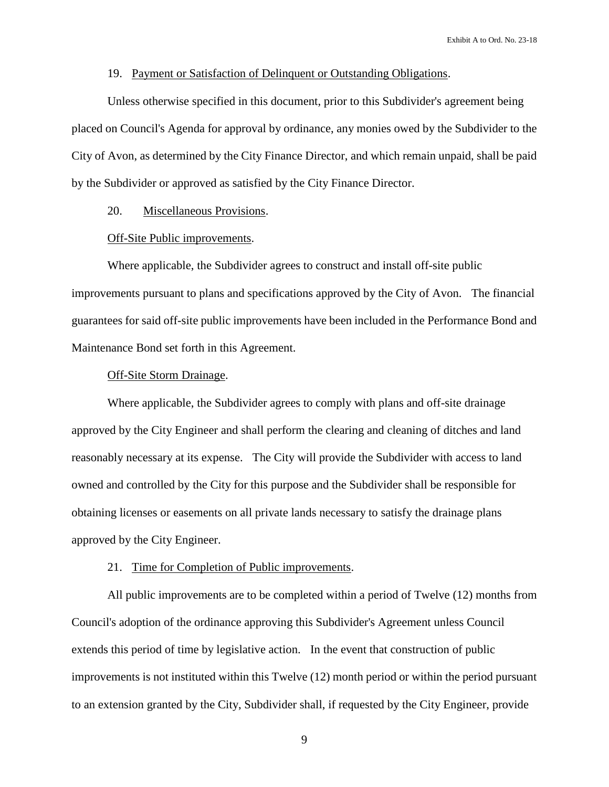# 19. Payment or Satisfaction of Delinquent or Outstanding Obligations.

Unless otherwise specified in this document, prior to this Subdivider's agreement being placed on Council's Agenda for approval by ordinance, any monies owed by the Subdivider to the City of Avon, as determined by the City Finance Director, and which remain unpaid, shall be paid by the Subdivider or approved as satisfied by the City Finance Director.

# 20. Miscellaneous Provisions.

### Off-Site Public improvements.

Where applicable, the Subdivider agrees to construct and install off-site public improvements pursuant to plans and specifications approved by the City of Avon. The financial guarantees for said off-site public improvements have been included in the Performance Bond and Maintenance Bond set forth in this Agreement.

# Off-Site Storm Drainage.

Where applicable, the Subdivider agrees to comply with plans and off-site drainage approved by the City Engineer and shall perform the clearing and cleaning of ditches and land reasonably necessary at its expense. The City will provide the Subdivider with access to land owned and controlled by the City for this purpose and the Subdivider shall be responsible for obtaining licenses or easements on all private lands necessary to satisfy the drainage plans approved by the City Engineer.

#### 21. Time for Completion of Public improvements.

All public improvements are to be completed within a period of Twelve (12) months from Council's adoption of the ordinance approving this Subdivider's Agreement unless Council extends this period of time by legislative action. In the event that construction of public improvements is not instituted within this Twelve (12) month period or within the period pursuant to an extension granted by the City, Subdivider shall, if requested by the City Engineer, provide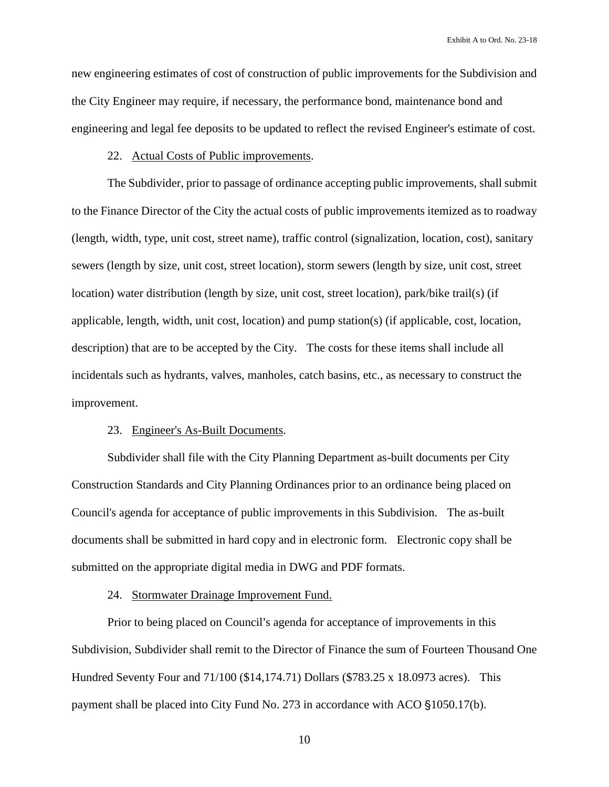new engineering estimates of cost of construction of public improvements for the Subdivision and the City Engineer may require, if necessary, the performance bond, maintenance bond and engineering and legal fee deposits to be updated to reflect the revised Engineer's estimate of cost.

### 22. Actual Costs of Public improvements.

The Subdivider, prior to passage of ordinance accepting public improvements, shall submit to the Finance Director of the City the actual costs of public improvements itemized as to roadway (length, width, type, unit cost, street name), traffic control (signalization, location, cost), sanitary sewers (length by size, unit cost, street location), storm sewers (length by size, unit cost, street location) water distribution (length by size, unit cost, street location), park/bike trail(s) (if applicable, length, width, unit cost, location) and pump station(s) (if applicable, cost, location, description) that are to be accepted by the City. The costs for these items shall include all incidentals such as hydrants, valves, manholes, catch basins, etc., as necessary to construct the improvement.

#### 23. Engineer's As-Built Documents.

Subdivider shall file with the City Planning Department as-built documents per City Construction Standards and City Planning Ordinances prior to an ordinance being placed on Council's agenda for acceptance of public improvements in this Subdivision. The as-built documents shall be submitted in hard copy and in electronic form. Electronic copy shall be submitted on the appropriate digital media in DWG and PDF formats.

#### 24. Stormwater Drainage Improvement Fund.

Prior to being placed on Council's agenda for acceptance of improvements in this Subdivision, Subdivider shall remit to the Director of Finance the sum of Fourteen Thousand One Hundred Seventy Four and 71/100 (\$14,174.71) Dollars (\$783.25 x 18.0973 acres). This payment shall be placed into City Fund No. 273 in accordance with ACO §1050.17(b).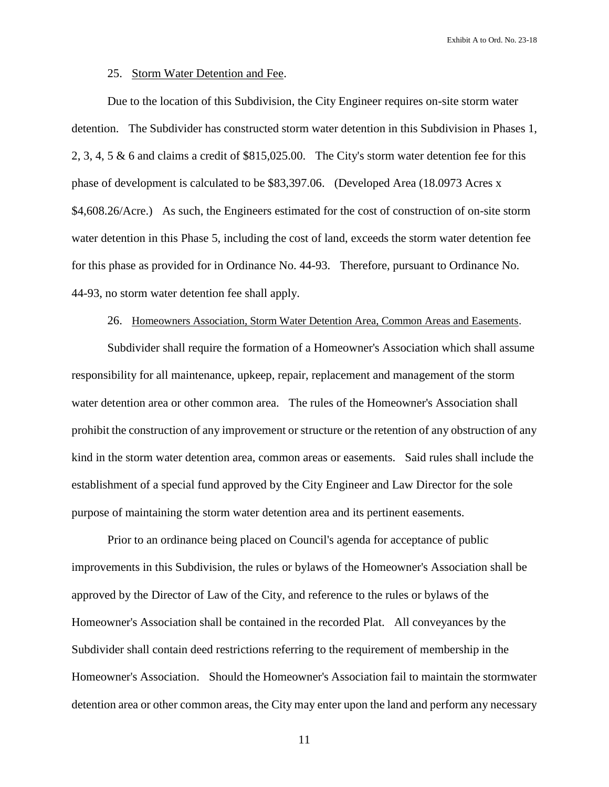# 25. Storm Water Detention and Fee.

Due to the location of this Subdivision, the City Engineer requires on-site storm water detention. The Subdivider has constructed storm water detention in this Subdivision in Phases 1, 2, 3, 4, 5 & 6 and claims a credit of \$815,025.00. The City's storm water detention fee for this phase of development is calculated to be \$83,397.06. (Developed Area (18.0973 Acres x \$4,608.26/Acre.) As such, the Engineers estimated for the cost of construction of on-site storm water detention in this Phase 5, including the cost of land, exceeds the storm water detention fee for this phase as provided for in Ordinance No. 44-93. Therefore, pursuant to Ordinance No. 44-93, no storm water detention fee shall apply.

#### 26. Homeowners Association, Storm Water Detention Area, Common Areas and Easements.

Subdivider shall require the formation of a Homeowner's Association which shall assume responsibility for all maintenance, upkeep, repair, replacement and management of the storm water detention area or other common area. The rules of the Homeowner's Association shall prohibit the construction of any improvement or structure or the retention of any obstruction of any kind in the storm water detention area, common areas or easements. Said rules shall include the establishment of a special fund approved by the City Engineer and Law Director for the sole purpose of maintaining the storm water detention area and its pertinent easements.

Prior to an ordinance being placed on Council's agenda for acceptance of public improvements in this Subdivision, the rules or bylaws of the Homeowner's Association shall be approved by the Director of Law of the City, and reference to the rules or bylaws of the Homeowner's Association shall be contained in the recorded Plat. All conveyances by the Subdivider shall contain deed restrictions referring to the requirement of membership in the Homeowner's Association. Should the Homeowner's Association fail to maintain the stormwater detention area or other common areas, the City may enter upon the land and perform any necessary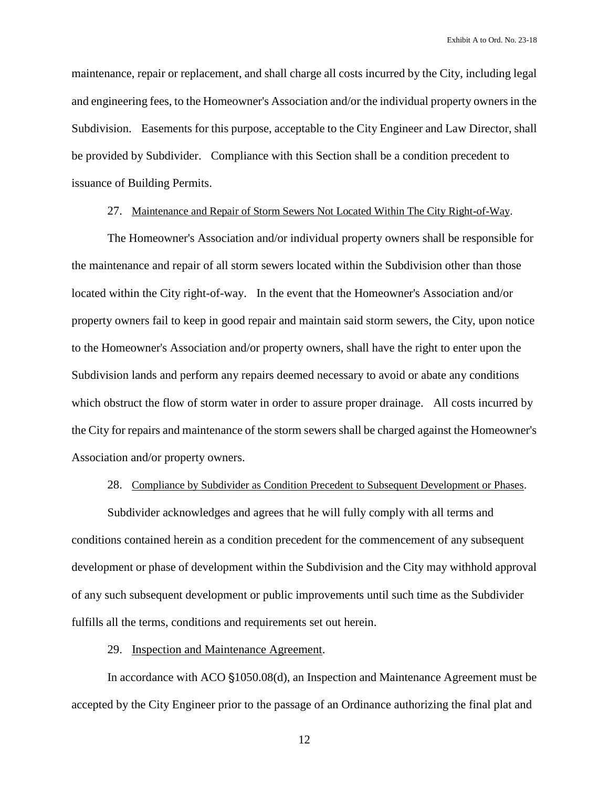maintenance, repair or replacement, and shall charge all costs incurred by the City, including legal and engineering fees, to the Homeowner's Association and/or the individual property owners in the Subdivision. Easements for this purpose, acceptable to the City Engineer and Law Director, shall be provided by Subdivider. Compliance with this Section shall be a condition precedent to issuance of Building Permits.

# 27. Maintenance and Repair of Storm Sewers Not Located Within The City Right-of-Way.

The Homeowner's Association and/or individual property owners shall be responsible for the maintenance and repair of all storm sewers located within the Subdivision other than those located within the City right-of-way. In the event that the Homeowner's Association and/or property owners fail to keep in good repair and maintain said storm sewers, the City, upon notice to the Homeowner's Association and/or property owners, shall have the right to enter upon the Subdivision lands and perform any repairs deemed necessary to avoid or abate any conditions which obstruct the flow of storm water in order to assure proper drainage. All costs incurred by the City for repairs and maintenance of the storm sewers shall be charged against the Homeowner's Association and/or property owners.

#### 28. Compliance by Subdivider as Condition Precedent to Subsequent Development or Phases.

Subdivider acknowledges and agrees that he will fully comply with all terms and conditions contained herein as a condition precedent for the commencement of any subsequent development or phase of development within the Subdivision and the City may withhold approval of any such subsequent development or public improvements until such time as the Subdivider fulfills all the terms, conditions and requirements set out herein.

# 29. Inspection and Maintenance Agreement.

In accordance with ACO  $\S1050.08(d)$ , an Inspection and Maintenance Agreement must be accepted by the City Engineer prior to the passage of an Ordinance authorizing the final plat and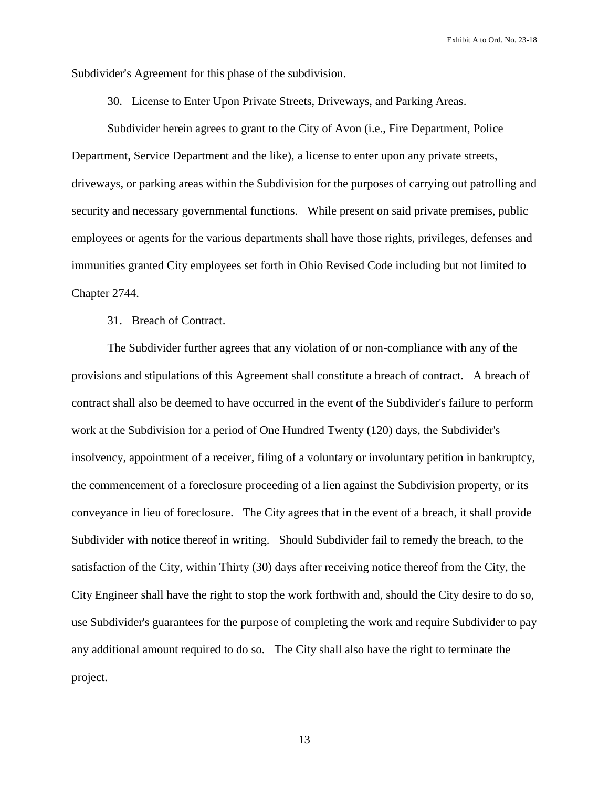Subdivider's Agreement for this phase of the subdivision.

#### 30. License to Enter Upon Private Streets, Driveways, and Parking Areas.

Subdivider herein agrees to grant to the City of Avon (i.e., Fire Department, Police Department, Service Department and the like), a license to enter upon any private streets, driveways, or parking areas within the Subdivision for the purposes of carrying out patrolling and security and necessary governmental functions. While present on said private premises, public employees or agents for the various departments shall have those rights, privileges, defenses and immunities granted City employees set forth in Ohio Revised Code including but not limited to Chapter 2744.

#### 31. Breach of Contract.

The Subdivider further agrees that any violation of or non-compliance with any of the provisions and stipulations of this Agreement shall constitute a breach of contract. A breach of contract shall also be deemed to have occurred in the event of the Subdivider's failure to perform work at the Subdivision for a period of One Hundred Twenty (120) days, the Subdivider's insolvency, appointment of a receiver, filing of a voluntary or involuntary petition in bankruptcy, the commencement of a foreclosure proceeding of a lien against the Subdivision property, or its conveyance in lieu of foreclosure. The City agrees that in the event of a breach, it shall provide Subdivider with notice thereof in writing. Should Subdivider fail to remedy the breach, to the satisfaction of the City, within Thirty (30) days after receiving notice thereof from the City, the City Engineer shall have the right to stop the work forthwith and, should the City desire to do so, use Subdivider's guarantees for the purpose of completing the work and require Subdivider to pay any additional amount required to do so. The City shall also have the right to terminate the project.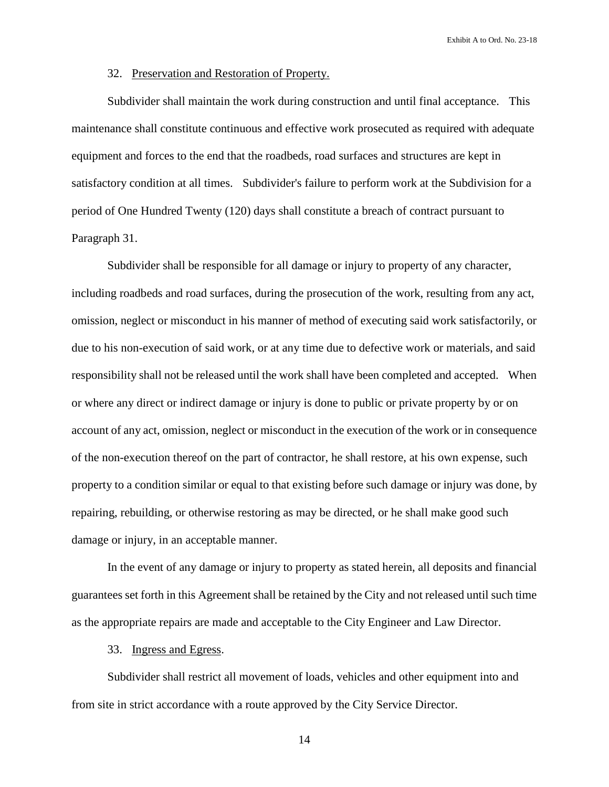### 32. Preservation and Restoration of Property.

Subdivider shall maintain the work during construction and until final acceptance. This maintenance shall constitute continuous and effective work prosecuted as required with adequate equipment and forces to the end that the roadbeds, road surfaces and structures are kept in satisfactory condition at all times. Subdivider's failure to perform work at the Subdivision for a period of One Hundred Twenty (120) days shall constitute a breach of contract pursuant to Paragraph 31.

Subdivider shall be responsible for all damage or injury to property of any character, including roadbeds and road surfaces, during the prosecution of the work, resulting from any act, omission, neglect or misconduct in his manner of method of executing said work satisfactorily, or due to his non-execution of said work, or at any time due to defective work or materials, and said responsibility shall not be released until the work shall have been completed and accepted. When or where any direct or indirect damage or injury is done to public or private property by or on account of any act, omission, neglect or misconduct in the execution of the work or in consequence of the non-execution thereof on the part of contractor, he shall restore, at his own expense, such property to a condition similar or equal to that existing before such damage or injury was done, by repairing, rebuilding, or otherwise restoring as may be directed, or he shall make good such damage or injury, in an acceptable manner.

In the event of any damage or injury to property as stated herein, all deposits and financial guarantees set forth in this Agreement shall be retained by the City and not released until such time as the appropriate repairs are made and acceptable to the City Engineer and Law Director.

33. Ingress and Egress.

Subdivider shall restrict all movement of loads, vehicles and other equipment into and from site in strict accordance with a route approved by the City Service Director.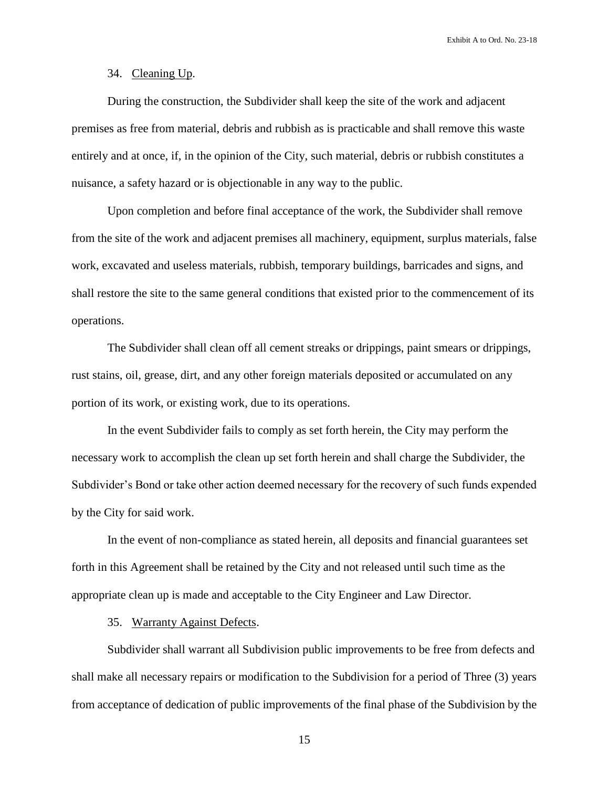# 34. Cleaning Up.

During the construction, the Subdivider shall keep the site of the work and adjacent premises as free from material, debris and rubbish as is practicable and shall remove this waste entirely and at once, if, in the opinion of the City, such material, debris or rubbish constitutes a nuisance, a safety hazard or is objectionable in any way to the public.

Upon completion and before final acceptance of the work, the Subdivider shall remove from the site of the work and adjacent premises all machinery, equipment, surplus materials, false work, excavated and useless materials, rubbish, temporary buildings, barricades and signs, and shall restore the site to the same general conditions that existed prior to the commencement of its operations.

The Subdivider shall clean off all cement streaks or drippings, paint smears or drippings, rust stains, oil, grease, dirt, and any other foreign materials deposited or accumulated on any portion of its work, or existing work, due to its operations.

In the event Subdivider fails to comply as set forth herein, the City may perform the necessary work to accomplish the clean up set forth herein and shall charge the Subdivider, the Subdivider's Bond or take other action deemed necessary for the recovery of such funds expended by the City for said work.

In the event of non-compliance as stated herein, all deposits and financial guarantees set forth in this Agreement shall be retained by the City and not released until such time as the appropriate clean up is made and acceptable to the City Engineer and Law Director.

# 35. Warranty Against Defects.

Subdivider shall warrant all Subdivision public improvements to be free from defects and shall make all necessary repairs or modification to the Subdivision for a period of Three (3) years from acceptance of dedication of public improvements of the final phase of the Subdivision by the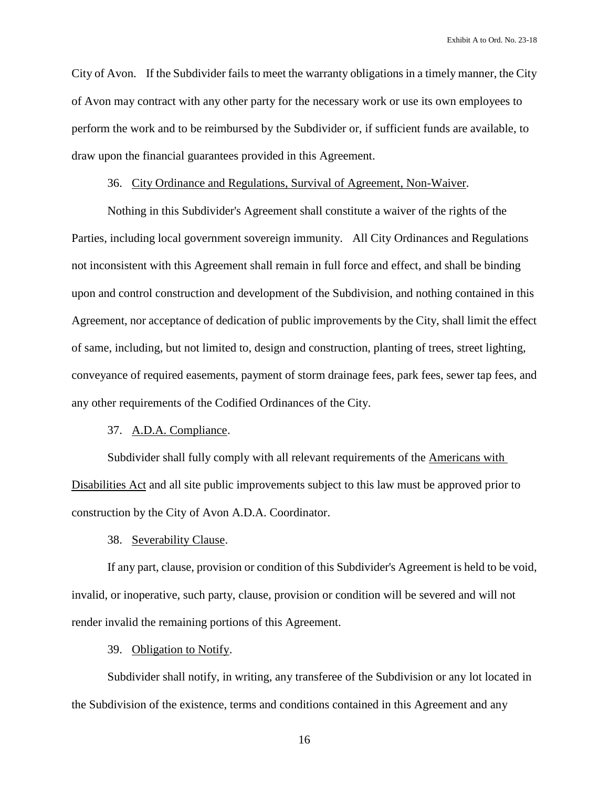City of Avon. If the Subdivider fails to meet the warranty obligations in a timely manner, the City of Avon may contract with any other party for the necessary work or use its own employees to perform the work and to be reimbursed by the Subdivider or, if sufficient funds are available, to draw upon the financial guarantees provided in this Agreement.

# 36. City Ordinance and Regulations, Survival of Agreement, Non-Waiver.

Nothing in this Subdivider's Agreement shall constitute a waiver of the rights of the Parties, including local government sovereign immunity. All City Ordinances and Regulations not inconsistent with this Agreement shall remain in full force and effect, and shall be binding upon and control construction and development of the Subdivision, and nothing contained in this Agreement, nor acceptance of dedication of public improvements by the City, shall limit the effect of same, including, but not limited to, design and construction, planting of trees, street lighting, conveyance of required easements, payment of storm drainage fees, park fees, sewer tap fees, and any other requirements of the Codified Ordinances of the City.

# 37. A.D.A. Compliance.

Subdivider shall fully comply with all relevant requirements of the Americans with Disabilities Act and all site public improvements subject to this law must be approved prior to construction by the City of Avon A.D.A. Coordinator.

38. Severability Clause.

If any part, clause, provision or condition of this Subdivider's Agreement is held to be void, invalid, or inoperative, such party, clause, provision or condition will be severed and will not render invalid the remaining portions of this Agreement.

39. Obligation to Notify.

Subdivider shall notify, in writing, any transferee of the Subdivision or any lot located in the Subdivision of the existence, terms and conditions contained in this Agreement and any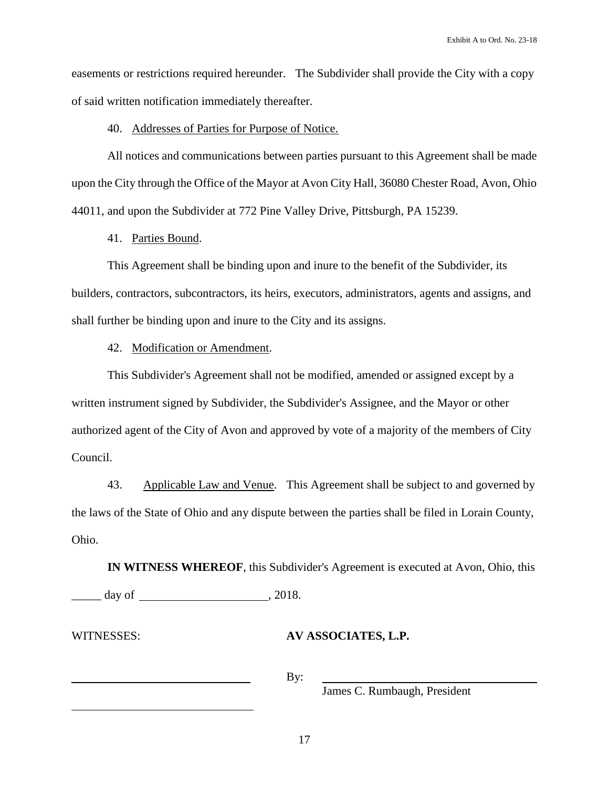easements or restrictions required hereunder. The Subdivider shall provide the City with a copy of said written notification immediately thereafter.

#### 40. Addresses of Parties for Purpose of Notice.

All notices and communications between parties pursuant to this Agreement shall be made upon the City through the Office of the Mayor at Avon City Hall, 36080 Chester Road, Avon, Ohio 44011, and upon the Subdivider at 772 Pine Valley Drive, Pittsburgh, PA 15239.

41. Parties Bound.

This Agreement shall be binding upon and inure to the benefit of the Subdivider, its builders, contractors, subcontractors, its heirs, executors, administrators, agents and assigns, and shall further be binding upon and inure to the City and its assigns.

42. Modification or Amendment.

This Subdivider's Agreement shall not be modified, amended or assigned except by a written instrument signed by Subdivider, the Subdivider's Assignee, and the Mayor or other authorized agent of the City of Avon and approved by vote of a majority of the members of City Council.

43. Applicable Law and Venue. This Agreement shall be subject to and governed by the laws of the State of Ohio and any dispute between the parties shall be filed in Lorain County, Ohio.

**IN WITNESS WHEREOF**, this Subdivider's Agreement is executed at Avon, Ohio, this  $\frac{day}{}$  of , 2018.

 $\overline{a}$ 

# WITNESSES: **AV ASSOCIATES, L.P.**

By:

James C. Rumbaugh, President